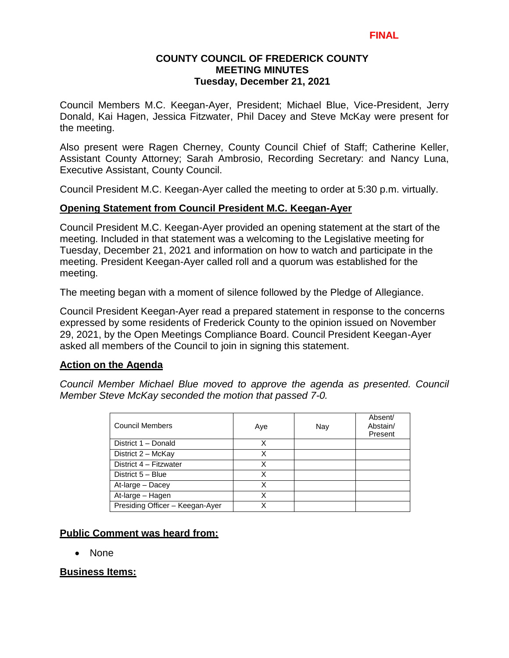# **COUNTY COUNCIL OF FREDERICK COUNTY MEETING MINUTES Tuesday, December 21, 2021**

Council Members M.C. Keegan-Ayer, President; Michael Blue, Vice-President, Jerry Donald, Kai Hagen, Jessica Fitzwater, Phil Dacey and Steve McKay were present for the meeting.

Also present were Ragen Cherney, County Council Chief of Staff; Catherine Keller, Assistant County Attorney; Sarah Ambrosio, Recording Secretary: and Nancy Luna, Executive Assistant, County Council.

Council President M.C. Keegan-Ayer called the meeting to order at 5:30 p.m. virtually.

# **Opening Statement from Council President M.C. Keegan-Ayer**

Council President M.C. Keegan-Ayer provided an opening statement at the start of the meeting. Included in that statement was a welcoming to the Legislative meeting for Tuesday, December 21, 2021 and information on how to watch and participate in the meeting. President Keegan-Ayer called roll and a quorum was established for the meeting.

The meeting began with a moment of silence followed by the Pledge of Allegiance.

Council President Keegan-Ayer read a prepared statement in response to the concerns expressed by some residents of Frederick County to the opinion issued on November 29, 2021, by the Open Meetings Compliance Board. Council President Keegan-Ayer asked all members of the Council to join in signing this statement.

# **Action on the Agenda**

*Council Member Michael Blue moved to approve the agenda as presented. Council Member Steve McKay seconded the motion that passed 7-0.*

| <b>Council Members</b>          | Aye | Nay | Absent/<br>Abstain/<br>Present |
|---------------------------------|-----|-----|--------------------------------|
| District 1 - Donald             | Χ   |     |                                |
| District 2 - McKay              | x   |     |                                |
| District 4 - Fitzwater          | х   |     |                                |
| District 5 - Blue               | X   |     |                                |
| At-large - Dacey                | X   |     |                                |
| At-large - Hagen                | Χ   |     |                                |
| Presiding Officer - Keegan-Ayer | X   |     |                                |

# **Public Comment was heard from:**

• None

# **Business Items:**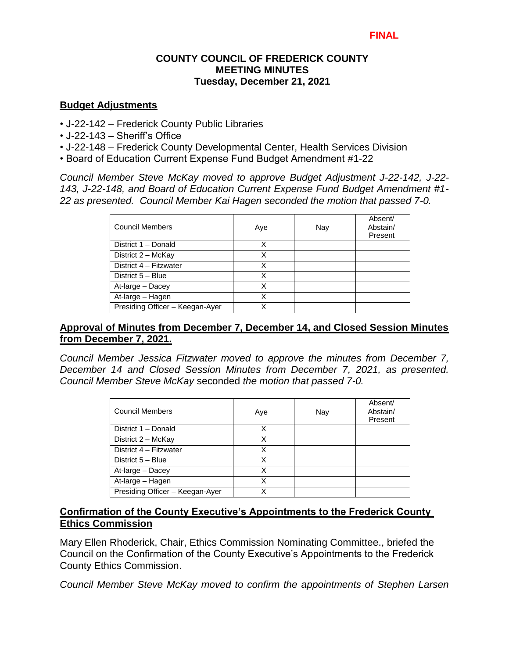# **COUNTY COUNCIL OF FREDERICK COUNTY MEETING MINUTES Tuesday, December 21, 2021**

### **Budget Adjustments**

- J-22-142 Frederick County Public Libraries
- J-22-143 Sheriff's Office
- J-22-148 Frederick County Developmental Center, Health Services Division
- Board of Education Current Expense Fund Budget Amendment #1-22

*Council Member Steve McKay moved to approve Budget Adjustment J-22-142, J-22- 143, J-22-148, and Board of Education Current Expense Fund Budget Amendment #1- 22 as presented. Council Member Kai Hagen seconded the motion that passed 7-0.* 

| <b>Council Members</b>          | Aye | Nay | Absent/<br>Abstain/<br>Present |
|---------------------------------|-----|-----|--------------------------------|
| District 1 - Donald             | х   |     |                                |
| District 2 - McKay              | X   |     |                                |
| District 4 - Fitzwater          | х   |     |                                |
| District 5 - Blue               | X   |     |                                |
| At-large - Dacey                | x   |     |                                |
| At-large - Hagen                | Χ   |     |                                |
| Presiding Officer - Keegan-Ayer |     |     |                                |

# **Approval of Minutes from December 7, December 14, and Closed Session Minutes from December 7, 2021.**

*Council Member Jessica Fitzwater moved to approve the minutes from December 7, December 14 and Closed Session Minutes from December 7, 2021, as presented. Council Member Steve McKay* seconded *the motion that passed 7-0.* 

| Council Members                 | Aye | Nay | Absent/<br>Abstain/<br>Present |
|---------------------------------|-----|-----|--------------------------------|
| District 1 - Donald             | x   |     |                                |
| District 2 - McKay              |     |     |                                |
| District 4 - Fitzwater          | x   |     |                                |
| District 5 - Blue               | x   |     |                                |
| At-large - Dacey                | Χ   |     |                                |
| At-large - Hagen                | x   |     |                                |
| Presiding Officer - Keegan-Ayer |     |     |                                |

# **Confirmation of the County Executive's Appointments to the Frederick County Ethics Commission**

Mary Ellen Rhoderick, Chair, Ethics Commission Nominating Committee., briefed the Council on the Confirmation of the County Executive's Appointments to the Frederick County Ethics Commission.

*Council Member Steve McKay moved to confirm the appointments of Stephen Larsen*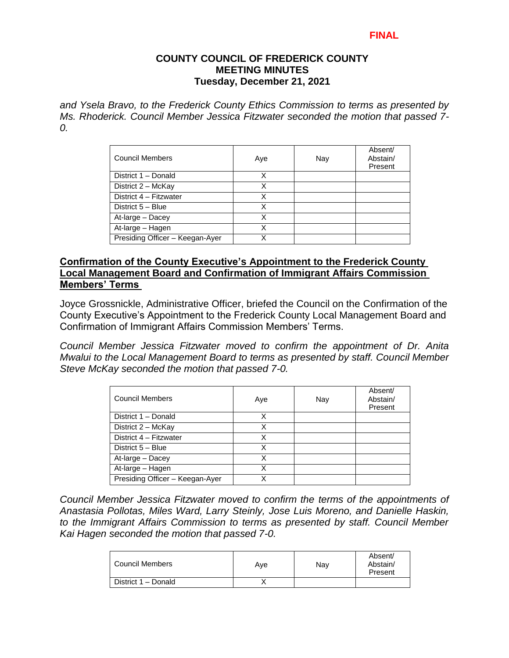### **FINAL**

### **COUNTY COUNCIL OF FREDERICK COUNTY MEETING MINUTES Tuesday, December 21, 2021**

*and Ysela Bravo, to the Frederick County Ethics Commission to terms as presented by Ms. Rhoderick. Council Member Jessica Fitzwater seconded the motion that passed 7- 0.* 

| <b>Council Members</b>          | Aye | Nay | Absent/<br>Abstain/<br>Present |
|---------------------------------|-----|-----|--------------------------------|
| District 1 - Donald             | X   |     |                                |
| District 2 - McKay              | х   |     |                                |
| District 4 - Fitzwater          | х   |     |                                |
| District 5 - Blue               | x   |     |                                |
| At-large - Dacey                | Χ   |     |                                |
| At-large - Hagen                | Χ   |     |                                |
| Presiding Officer - Keegan-Ayer | x   |     |                                |

## **Confirmation of the County Executive's Appointment to the Frederick County Local Management Board and Confirmation of Immigrant Affairs Commission Members' Terms**

Joyce Grossnickle, Administrative Officer, briefed the Council on the Confirmation of the County Executive's Appointment to the Frederick County Local Management Board and Confirmation of Immigrant Affairs Commission Members' Terms.

*Council Member Jessica Fitzwater moved to confirm the appointment of Dr. Anita Mwalui to the Local Management Board to terms as presented by staff. Council Member Steve McKay seconded the motion that passed 7-0.* 

| <b>Council Members</b>          | Aye | Nay | Absent/<br>Abstain/<br>Present |
|---------------------------------|-----|-----|--------------------------------|
| District 1 - Donald             | x   |     |                                |
| District 2 - McKay              | Χ   |     |                                |
| District 4 - Fitzwater          | x   |     |                                |
| District 5 - Blue               | x   |     |                                |
| At-large - Dacey                | Χ   |     |                                |
| At-large - Hagen                | x   |     |                                |
| Presiding Officer - Keegan-Ayer | x   |     |                                |

*Council Member Jessica Fitzwater moved to confirm the terms of the appointments of Anastasia Pollotas, Miles Ward, Larry Steinly, Jose Luis Moreno, and Danielle Haskin, to the Immigrant Affairs Commission to terms as presented by staff. Council Member Kai Hagen seconded the motion that passed 7-0.*

| Council Members     | Ave | Nav | Absent/<br>Abstain/<br>Present |
|---------------------|-----|-----|--------------------------------|
| District 1 – Donald |     |     |                                |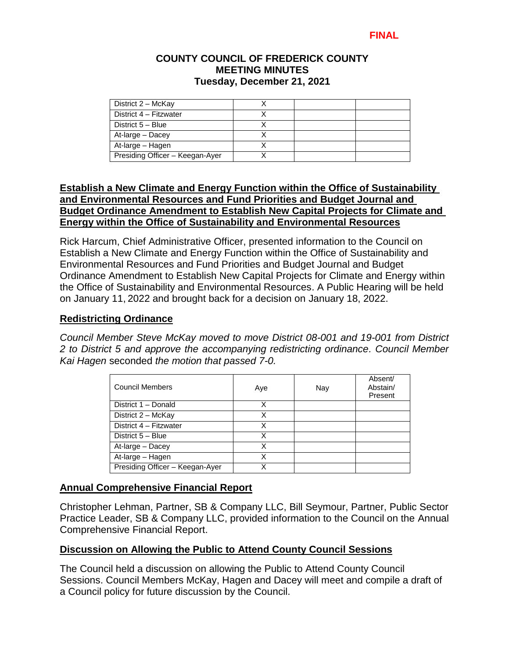## **COUNTY COUNCIL OF FREDERICK COUNTY MEETING MINUTES Tuesday, December 21, 2021**

| District 2 - McKay              |  |  |
|---------------------------------|--|--|
| District 4 - Fitzwater          |  |  |
| District 5 - Blue               |  |  |
| At-large - Dacey                |  |  |
| At-large – Hagen                |  |  |
| Presiding Officer - Keegan-Ayer |  |  |

# **Establish a New Climate and Energy Function within the Office of Sustainability and Environmental Resources and Fund Priorities and Budget Journal and Budget Ordinance Amendment to Establish New Capital Projects for Climate and Energy within the Office of Sustainability and Environmental Resources**

Rick Harcum, Chief Administrative Officer, presented information to the Council on Establish a New Climate and Energy Function within the Office of Sustainability and Environmental Resources and Fund Priorities and Budget Journal and Budget Ordinance Amendment to Establish New Capital Projects for Climate and Energy within the Office of Sustainability and Environmental Resources. A Public Hearing will be held on January 11, 2022 and brought back for a decision on January 18, 2022.

# **Redistricting Ordinance**

*Council Member Steve McKay moved to move District 08-001 and 19-001 from District 2 to District 5 and approve the accompanying redistricting ordinance. Council Member Kai Hagen* seconded *the motion that passed 7-0.* 

| <b>Council Members</b>          | Aye | Nay | Absent/<br>Abstain/<br>Present |
|---------------------------------|-----|-----|--------------------------------|
| District 1 - Donald             | x   |     |                                |
| District 2 - McKay              | x   |     |                                |
| District 4 - Fitzwater          | X   |     |                                |
| District 5 - Blue               | X   |     |                                |
| At-large - Dacey                |     |     |                                |
| At-large - Hagen                | X   |     |                                |
| Presiding Officer - Keegan-Ayer |     |     |                                |

# **Annual Comprehensive Financial Report**

Christopher Lehman, Partner, SB & Company LLC, Bill Seymour, Partner, Public Sector Practice Leader, SB & Company LLC, provided information to the Council on the Annual Comprehensive Financial Report.

# **Discussion on Allowing the Public to Attend County Council Sessions**

The Council held a discussion on allowing the Public to Attend County Council Sessions. Council Members McKay, Hagen and Dacey will meet and compile a draft of a Council policy for future discussion by the Council.